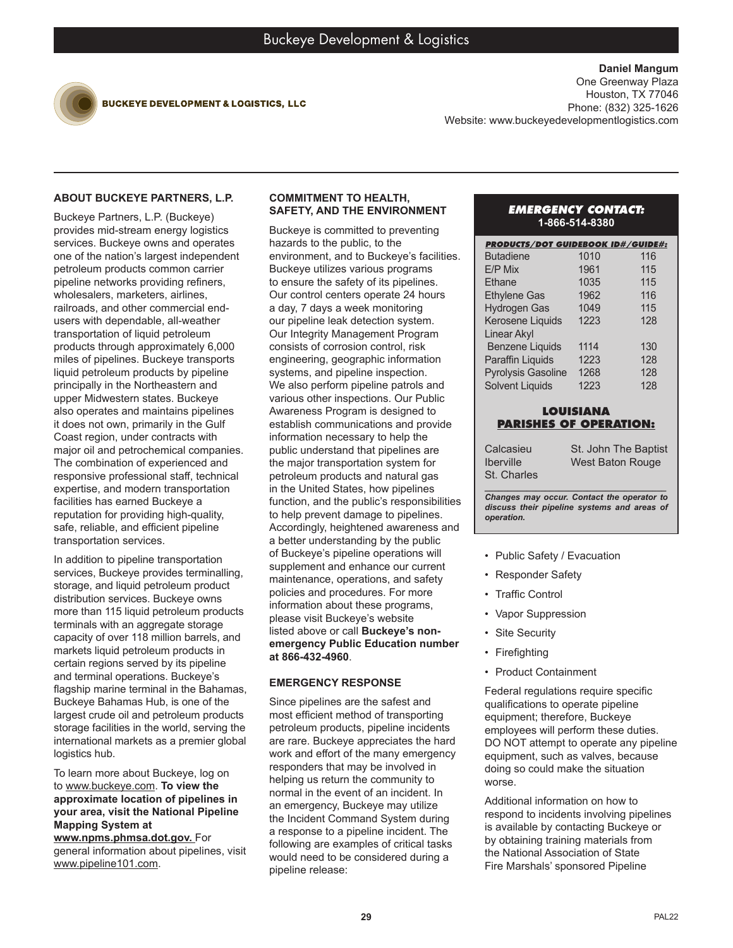

**BUCKEYE DEVELOPMENT & LOGISTICS, LLC** 

**Daniel Mangum** One Greenway Plaza Houston, TX 77046 Phone: (832) 325-1626 Website: www.buckeyedevelopmentlogistics.com

# **ABOUT BUCKEYE PARTNERS, L.P.**

Buckeye Partners, L.P. (Buckeye) provides mid-stream energy logistics services. Buckeye owns and operates one of the nation's largest independent petroleum products common carrier pipeline networks providing refiners, wholesalers, marketers, airlines, railroads, and other commercial endusers with dependable, all-weather transportation of liquid petroleum products through approximately 6,000 miles of pipelines. Buckeye transports liquid petroleum products by pipeline principally in the Northeastern and upper Midwestern states. Buckeye also operates and maintains pipelines it does not own, primarily in the Gulf Coast region, under contracts with major oil and petrochemical companies. The combination of experienced and responsive professional staff, technical expertise, and modern transportation facilities has earned Buckeye a reputation for providing high-quality, safe, reliable, and efficient pipeline transportation services.

In addition to pipeline transportation services, Buckeye provides terminalling, storage, and liquid petroleum product distribution services. Buckeye owns more than 115 liquid petroleum products terminals with an aggregate storage capacity of over 118 million barrels, and markets liquid petroleum products in certain regions served by its pipeline and terminal operations. Buckeye's flagship marine terminal in the Bahamas, Buckeye Bahamas Hub, is one of the largest crude oil and petroleum products storage facilities in the world, serving the international markets as a premier global logistics hub.

To learn more about Buckeye, log on to www.buckeye.com. **To view the approximate location of pipelines in your area, visit the National Pipeline Mapping System at** 

**www.npms.phmsa.dot.gov.** For general information about pipelines, visit www.pipeline101.com.

#### **COMMITMENT TO HEALTH, SAFETY, AND THE ENVIRONMENT**

Buckeye is committed to preventing hazards to the public, to the environment, and to Buckeye's facilities. Buckeye utilizes various programs to ensure the safety of its pipelines. Our control centers operate 24 hours a day, 7 days a week monitoring our pipeline leak detection system. Our Integrity Management Program consists of corrosion control, risk engineering, geographic information systems, and pipeline inspection. We also perform pipeline patrols and various other inspections. Our Public Awareness Program is designed to establish communications and provide information necessary to help the public understand that pipelines are the major transportation system for petroleum products and natural gas in the United States, how pipelines function, and the public's responsibilities to help prevent damage to pipelines. Accordingly, heightened awareness and a better understanding by the public of Buckeye's pipeline operations will supplement and enhance our current maintenance, operations, and safety policies and procedures. For more information about these programs, please visit Buckeye's website listed above or call **Buckeye's nonemergency Public Education number at 866-432-4960**.

## **EMERGENCY RESPONSE**

Since pipelines are the safest and most efficient method of transporting petroleum products, pipeline incidents are rare. Buckeye appreciates the hard work and effort of the many emergency responders that may be involved in helping us return the community to normal in the event of an incident. In an emergency, Buckeye may utilize the Incident Command System during a response to a pipeline incident. The following are examples of critical tasks would need to be considered during a pipeline release:

### *EMERGENCY CONTACT:* **1-866-514-8380**

| <b>PRODUCTS/DOT GUIDEBOOK ID#/GUIDE#:</b> |      |     |
|-------------------------------------------|------|-----|
| <b>Butadiene</b>                          | 1010 | 116 |
| F/P Mix                                   | 1961 | 115 |
| Ethane                                    | 1035 | 115 |
| <b>Ethylene Gas</b>                       | 1962 | 116 |
| <b>Hydrogen Gas</b>                       | 1049 | 115 |
| Kerosene Liquids                          | 1223 | 128 |
| Linear Akyl                               |      |     |
| <b>Benzene Liquids</b>                    | 1114 | 130 |
| <b>Paraffin Liquids</b>                   | 1223 | 128 |
| <b>Pyrolysis Gasoline</b>                 | 1268 | 128 |
| <b>Solvent Liquids</b>                    | 1223 | 128 |

### **LOUISIANA PARISHES OF OPERATION:**

Calcasieu Iberville St. Charles St. John The Baptist West Baton Rouge

*\_\_\_\_\_\_\_\_\_\_\_\_\_\_\_\_\_\_\_\_\_\_\_\_\_\_\_\_\_\_\_\_\_\_\_\_\_\_\_ Changes may occur. Contact the operator to discuss their pipeline systems and areas of operation.*

- Public Safety / Evacuation
- Responder Safety
- **Traffic Control**
- Vapor Suppression
- Site Security
- Firefighting
- Product Containment

Federal regulations require specific qualifications to operate pipeline equipment; therefore, Buckeye employees will perform these duties. DO NOT attempt to operate any pipeline equipment, such as valves, because doing so could make the situation worse.

Additional information on how to respond to incidents involving pipelines is available by contacting Buckeye or by obtaining training materials from the National Association of State Fire Marshals' sponsored Pipeline